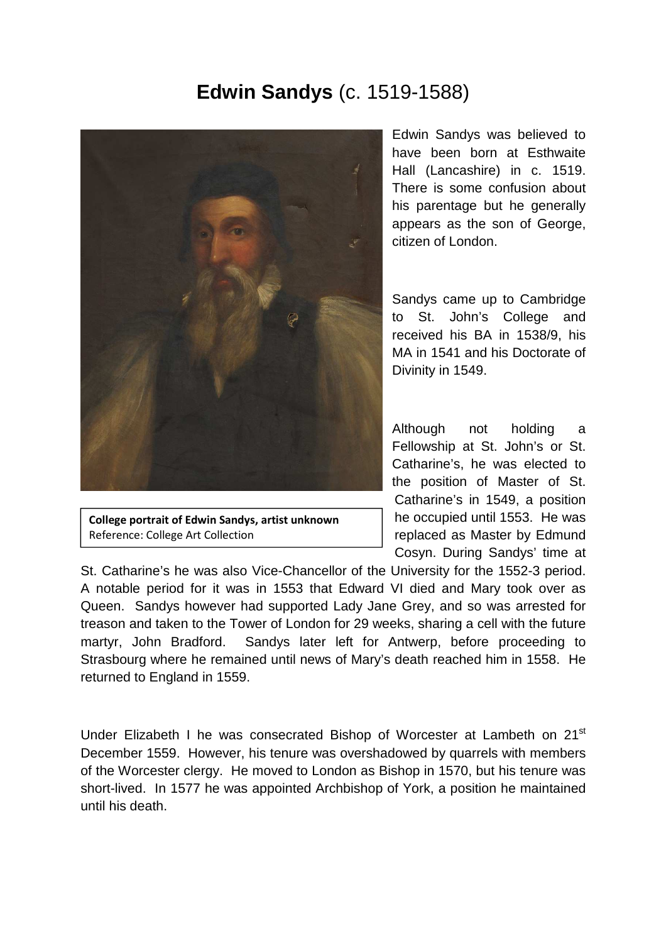## **Edwin Sandys** (c. 1519-1588)



**College portrait of Edwin Sandys, artist unknown** Reference: College Art Collection

Edwin Sandys was believed to have been born at Esthwaite Hall (Lancashire) in c. 1519. There is some confusion about his parentage but he generally appears as the son of George, citizen of London.

Sandys came up to Cambridge to St. John's College and received his BA in 1538/9, his MA in 1541 and his Doctorate of Divinity in 1549.

Although not holding a Fellowship at St. John's or St. Catharine's, he was elected to the position of Master of St. Catharine's in 1549, a position he occupied until 1553. He was replaced as Master by Edmund Cosyn. During Sandys' time at

St. Catharine's he was also Vice-Chancellor of the University for the 1552-3 period. A notable period for it was in 1553 that Edward VI died and Mary took over as Queen. Sandys however had supported Lady Jane Grey, and so was arrested for treason and taken to the Tower of London for 29 weeks, sharing a cell with the future martyr, John Bradford. Sandys later left for Antwerp, before proceeding to Strasbourg where he remained until news of Mary's death reached him in 1558. He returned to England in 1559.

Under Elizabeth I he was consecrated Bishop of Worcester at Lambeth on 21<sup>st</sup> December 1559. However, his tenure was overshadowed by quarrels with members of the Worcester clergy. He moved to London as Bishop in 1570, but his tenure was short-lived. In 1577 he was appointed Archbishop of York, a position he maintained until his death.